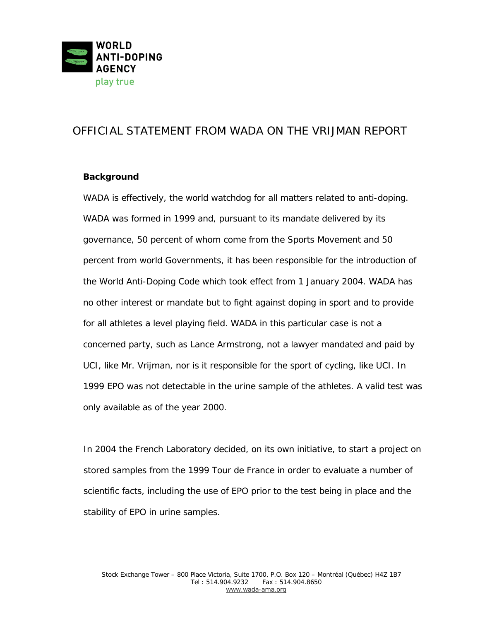

## OFFICIAL STATEMENT FROM WADA ON THE VRIJMAN REPORT

## **Background**

WADA is effectively, the world watchdog for all matters related to anti-doping. WADA was formed in 1999 and, pursuant to its mandate delivered by its governance, 50 percent of whom come from the Sports Movement and 50 percent from world Governments, it has been responsible for the introduction of the World Anti-Doping Code which took effect from 1 January 2004. WADA has no other interest or mandate but to fight against doping in sport and to provide for all athletes a level playing field. WADA in this particular case is not a concerned party, such as Lance Armstrong, not a lawyer mandated and paid by UCI, like Mr. Vrijman, nor is it responsible for the sport of cycling, like UCI. In 1999 EPO was not detectable in the urine sample of the athletes. A valid test was only available as of the year 2000.

In 2004 the French Laboratory decided, on its own initiative, to start a project on stored samples from the 1999 Tour de France in order to evaluate a number of scientific facts, including the use of EPO prior to the test being in place and the stability of EPO in urine samples.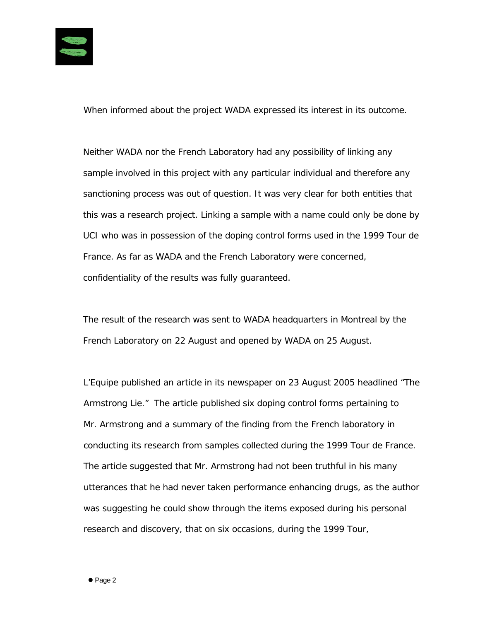

When informed about the project WADA expressed its interest in its outcome.

Neither WADA nor the French Laboratory had any possibility of linking any sample involved in this project with any particular individual and therefore any sanctioning process was out of question. It was very clear for both entities that this was a research project. Linking a sample with a name could only be done by UCI who was in possession of the doping control forms used in the 1999 Tour de France. As far as WADA and the French Laboratory were concerned, confidentiality of the results was fully guaranteed.

The result of the research was sent to WADA headquarters in Montreal by the French Laboratory on 22 August and opened by WADA on 25 August.

*L'Equipe* published an article in its newspaper on 23 August 2005 headlined "*The Armstrong Lie.*" The article published six doping control forms pertaining to Mr. Armstrong and a summary of the finding from the French laboratory in conducting its research from samples collected during the 1999 Tour de France. The article suggested that Mr. Armstrong had not been truthful in his many utterances that he had never taken performance enhancing drugs, as the author was suggesting he could show through the items exposed during his personal research and discovery, that on six occasions, during the 1999 Tour,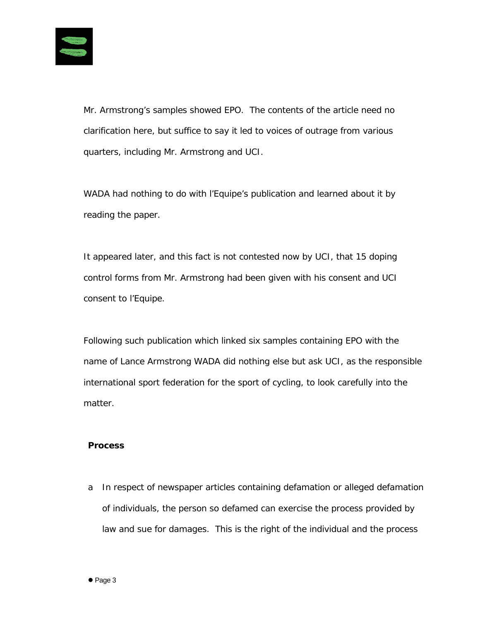

Mr. Armstrong's samples showed EPO. The contents of the article need no clarification here, but suffice to say it led to voices of outrage from various quarters, including Mr. Armstrong and UCI.

WADA had nothing to do with l'*Equipe*'s publication and learned about it by reading the paper.

It appeared later, and this fact is not contested now by UCI, that 15 doping control forms from Mr. Armstrong had been given with his consent and UCI consent to l'*Equipe*.

Following such publication which linked six samples containing EPO with the name of Lance Armstrong WADA did nothing else but ask UCI, as the responsible international sport federation for the sport of cycling, to look carefully into the matter.

## **Process**

a In respect of newspaper articles containing defamation or alleged defamation of individuals, the person so defamed can exercise the process provided by law and sue for damages. This is the right of the individual and the process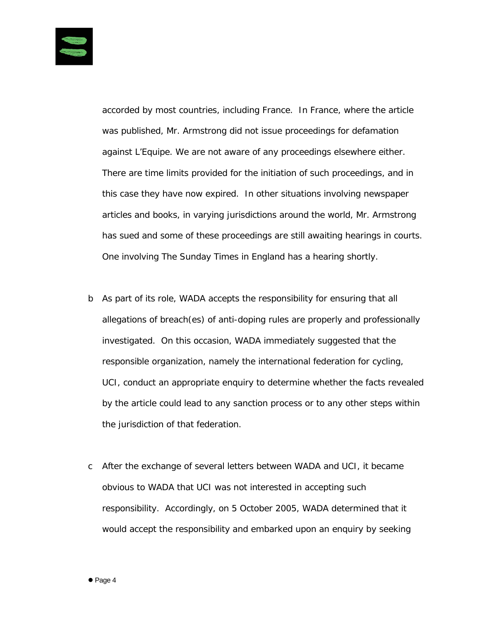

accorded by most countries, including France. In France, where the article was published, Mr. Armstrong did not issue proceedings for defamation against *L'Equipe*. We are not aware of any proceedings elsewhere either. There are time limits provided for the initiation of such proceedings, and in this case they have now expired. In other situations involving newspaper articles and books, in varying jurisdictions around the world, Mr. Armstrong has sued and some of these proceedings are still awaiting hearings in courts. One involving *The Sunday Times* in England has a hearing shortly.

- b As part of its role, WADA accepts the responsibility for ensuring that all allegations of breach(es) of anti-doping rules are properly and professionally investigated. On this occasion, WADA immediately suggested that the responsible organization, namely the international federation for cycling, UCI, conduct an appropriate enquiry to determine whether the facts revealed by the article could lead to any sanction process or to any other steps within the jurisdiction of that federation.
- c After the exchange of several letters between WADA and UCI, it became obvious to WADA that UCI was not interested in accepting such responsibility. Accordingly, on 5 October 2005, WADA determined that it would accept the responsibility and embarked upon an enquiry by seeking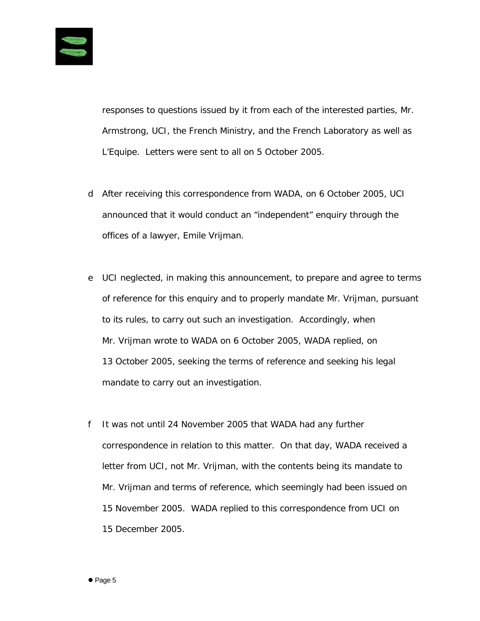

responses to questions issued by it from each of the interested parties, Mr. Armstrong, UCI, the French Ministry, and the French Laboratory as well as *L'Equipe*. Letters were sent to all on 5 October 2005.

- d After receiving this correspondence from WADA, on 6 October 2005, UCI announced that it would conduct an "independent" enquiry through the offices of a lawyer, Emile Vrijman.
- e UCI neglected, in making this announcement, to prepare and agree to terms of reference for this enquiry and to properly mandate Mr. Vrijman, pursuant to its rules, to carry out such an investigation. Accordingly, when Mr. Vrijman wrote to WADA on 6 October 2005, WADA replied, on 13 October 2005, seeking the terms of reference and seeking his legal mandate to carry out an investigation.
- f It was not until 24 November 2005 that WADA had any further correspondence in relation to this matter. On that day, WADA received a letter from UCI, not Mr. Vrijman, with the contents being its mandate to Mr. Vrijman and terms of reference, which seemingly had been issued on 15 November 2005. WADA replied to this correspondence from UCI on 15 December 2005.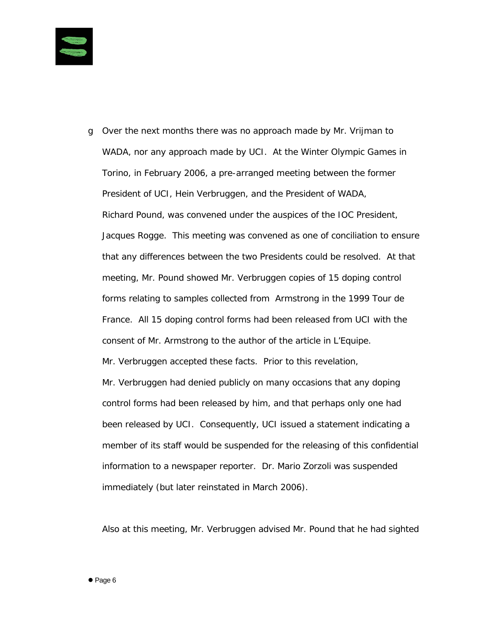

g Over the next months there was no approach made by Mr. Vrijman to WADA, nor any approach made by UCI. At the Winter Olympic Games in Torino, in February 2006, a pre-arranged meeting between the former President of UCI, Hein Verbruggen, and the President of WADA, Richard Pound, was convened under the auspices of the IOC President, Jacques Rogge. This meeting was convened as one of conciliation to ensure that any differences between the two Presidents could be resolved. At that meeting, Mr. Pound showed Mr. Verbruggen copies of 15 doping control forms relating to samples collected from Armstrong in the 1999 Tour de France. All 15 doping control forms had been released from UCI with the consent of Mr. Armstrong to the author of the article in *L'Equipe*. Mr. Verbruggen accepted these facts. Prior to this revelation, Mr. Verbruggen had denied publicly on many occasions that any doping control forms had been released by him, and that perhaps only one had been released by UCI. Consequently, UCI issued a statement indicating a member of its staff would be suspended for the releasing of this confidential information to a newspaper reporter. Dr. Mario Zorzoli was suspended immediately (but later reinstated in March 2006).

Also at this meeting, Mr. Verbruggen advised Mr. Pound that he had sighted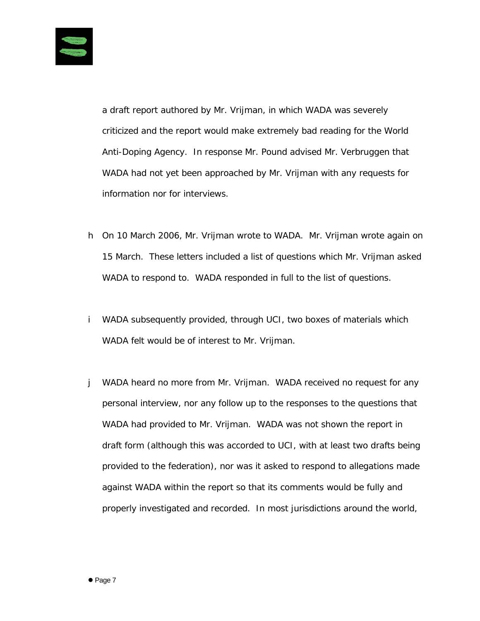

a draft report authored by Mr. Vrijman, in which WADA was severely criticized and the report would make extremely bad reading for the World Anti-Doping Agency. In response Mr. Pound advised Mr. Verbruggen that WADA had not yet been approached by Mr. Vrijman with any requests for information nor for interviews.

- h On 10 March 2006, Mr. Vrijman wrote to WADA. Mr. Vrijman wrote again on 15 March. These letters included a list of questions which Mr. Vrijman asked WADA to respond to. WADA responded in full to the list of questions.
- i WADA subsequently provided, through UCI, two boxes of materials which WADA felt would be of interest to Mr. Vrijman.
- j WADA heard no more from Mr. Vrijman. WADA received no request for any personal interview, nor any follow up to the responses to the questions that WADA had provided to Mr. Vrijman. WADA was not shown the report in draft form (although this was accorded to UCI, with at least two drafts being provided to the federation), nor was it asked to respond to allegations made against WADA within the report so that its comments would be fully and properly investigated and recorded. In most jurisdictions around the world,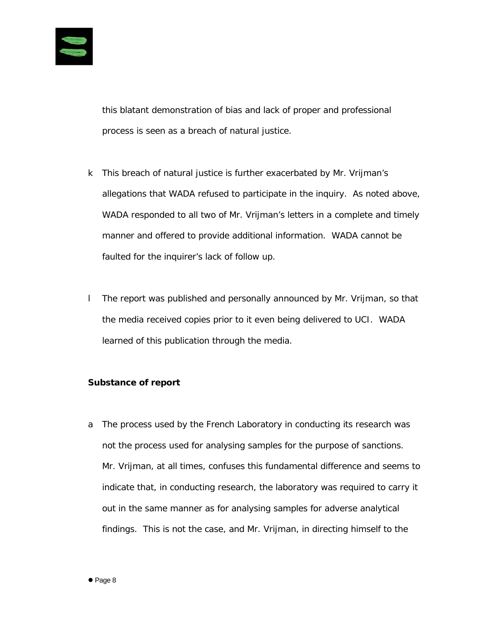

this blatant demonstration of bias and lack of proper and professional process is seen as a breach of natural justice.

- k This breach of natural justice is further exacerbated by Mr. Vrijman's allegations that WADA refused to participate in the inquiry. As noted above, WADA responded to all two of Mr. Vrijman's letters in a complete and timely manner and offered to provide additional information. WADA cannot be faulted for the inquirer's lack of follow up.
- l The report was published and personally announced by Mr. Vrijman, so that the media received copies prior to it even being delivered to UCI. WADA learned of this publication through the media.

## **Substance of report**

a The process used by the French Laboratory in conducting its research was not the process used for analysing samples for the purpose of sanctions. Mr. Vrijman, at all times, confuses this fundamental difference and seems to indicate that, in conducting research, the laboratory was required to carry it out in the same manner as for analysing samples for adverse analytical findings. This is not the case, and Mr. Vrijman, in directing himself to the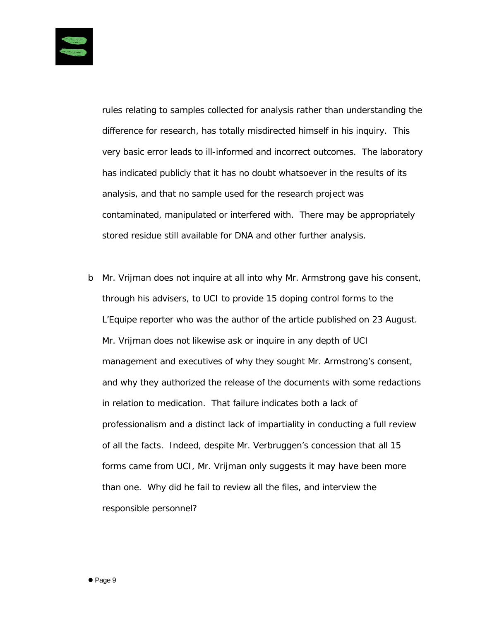

rules relating to samples collected for analysis rather than understanding the difference for research, has totally misdirected himself in his inquiry. This very basic error leads to ill-informed and incorrect outcomes. The laboratory has indicated publicly that it has no doubt whatsoever in the results of its analysis, and that no sample used for the research project was contaminated, manipulated or interfered with. There may be appropriately stored residue still available for DNA and other further analysis.

b Mr. Vrijman does not inquire at all into why Mr. Armstrong gave his consent, through his advisers, to UCI to provide 15 doping control forms to the *L'Equipe* reporter who was the author of the article published on 23 August. Mr. Vrijman does not likewise ask or inquire in any depth of UCI management and executives of why they sought Mr. Armstrong's consent, and why they authorized the release of the documents with some redactions in relation to medication. That failure indicates both a lack of professionalism and a distinct lack of impartiality in conducting a full review of all the facts. Indeed, despite Mr. Verbruggen's concession that all 15 forms came from UCI, Mr. Vrijman only suggests it may have been more than one. Why did he fail to review all the files, and interview the responsible personnel?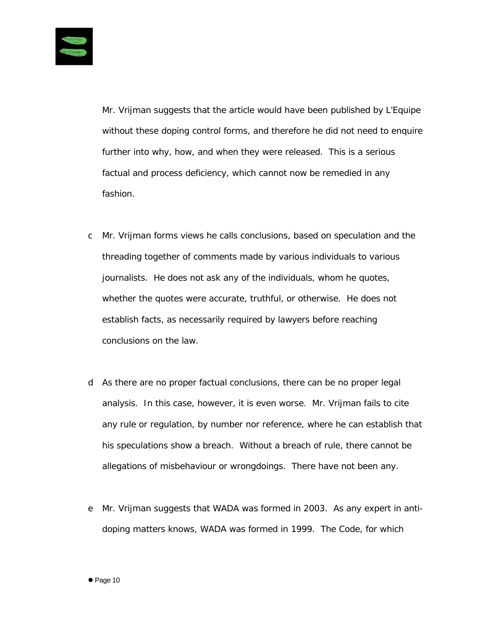

Mr. Vrijman suggests that the article would have been published by *L'Equipe* without these doping control forms, and therefore he did not need to enquire further into why, how, and when they were released. This is a serious factual and process deficiency, which cannot now be remedied in any fashion.

- c Mr. Vrijman forms views he calls conclusions, based on speculation and the threading together of comments made by various individuals to various journalists. He does not ask any of the individuals, whom he quotes, whether the quotes were accurate, truthful, or otherwise. He does not establish facts, as necessarily required by lawyers before reaching conclusions on the law.
- d As there are no proper factual conclusions, there can be no proper legal analysis. In this case, however, it is even worse. Mr. Vrijman fails to cite any rule or regulation, by number nor reference, where he can establish that his speculations show a breach. Without a breach of rule, there cannot be allegations of misbehaviour or wrongdoings. There have not been any.
- e Mr. Vrijman suggests that WADA was formed in 2003. As any expert in antidoping matters knows, WADA was formed in 1999. The Code, for which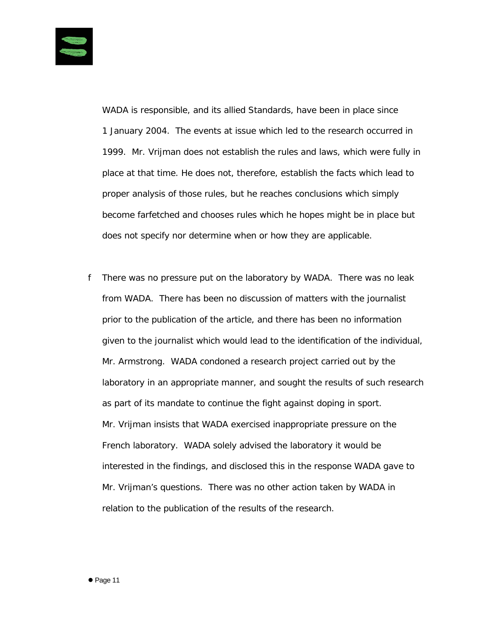

WADA is responsible, and its allied Standards, have been in place since 1 January 2004. The events at issue which led to the research occurred in 1999. Mr. Vrijman does not establish the rules and laws, which were fully in place at that time. He does not, therefore, establish the facts which lead to proper analysis of those rules, but he reaches conclusions which simply become farfetched and chooses rules which he hopes might be in place but does not specify nor determine when or how they are applicable.

f There was no pressure put on the laboratory by WADA. There was no leak from WADA. There has been no discussion of matters with the journalist prior to the publication of the article, and there has been no information given to the journalist which would lead to the identification of the individual, Mr. Armstrong. WADA condoned a research project carried out by the laboratory in an appropriate manner, and sought the results of such research as part of its mandate to continue the fight against doping in sport. Mr. Vrijman insists that WADA exercised inappropriate pressure on the French laboratory. WADA solely advised the laboratory it would be interested in the findings, and disclosed this in the response WADA gave to Mr. Vrijman's questions. There was no other action taken by WADA in relation to the publication of the results of the research.